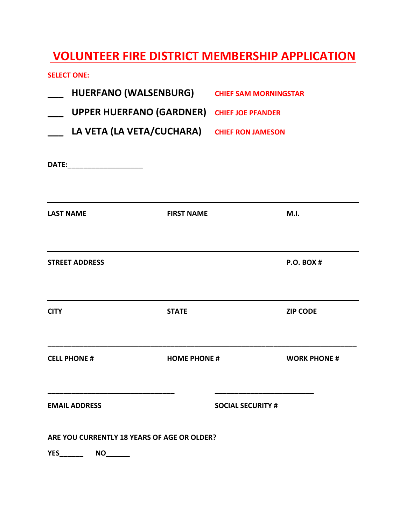## **VOLUNTEER FIRE DISTRICT MEMBERSHIP APPLICATION**

**SELECT ONE:**

| ARE YOU CURRENTLY 18 YEARS OF AGE OR OLDER?<br><b>YES</b><br>NO |                                 |                                             |                     |  |
|-----------------------------------------------------------------|---------------------------------|---------------------------------------------|---------------------|--|
| <b>EMAIL ADDRESS</b>                                            |                                 | <b>SOCIAL SECURITY #</b>                    |                     |  |
| <b>CELL PHONE #</b>                                             | <b>HOME PHONE #</b>             |                                             | <b>WORK PHONE #</b> |  |
| <b>CITY</b>                                                     | <b>STATE</b>                    |                                             | <b>ZIP CODE</b>     |  |
| <b>STREET ADDRESS</b>                                           |                                 |                                             | <b>P.O. BOX#</b>    |  |
| <b>LAST NAME</b>                                                | <b>FIRST NAME</b>               |                                             | M.I.                |  |
| DATE:________________________                                   |                                 |                                             |                     |  |
|                                                                 |                                 | LA VETA (LA VETA/CUCHARA) CHIEF RON JAMESON |                     |  |
|                                                                 | <b>UPPER HUERFANO (GARDNER)</b> | <b>CHIEF JOE PFANDER</b>                    |                     |  |
|                                                                 |                                 | HUERFANO (WALSENBURG) CHIEF SAM MORNINGSTAR |                     |  |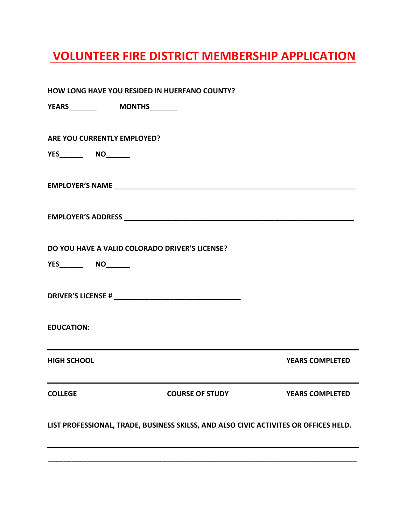## **VOLUNTEER FIRE DISTRICT MEMBERSHIP APPLICATION**

| HOW LONG HAVE YOU RESIDED IN HUERFANO COUNTY?                                        |                                                |                        |                        |  |
|--------------------------------------------------------------------------------------|------------------------------------------------|------------------------|------------------------|--|
|                                                                                      | <b>YEARS_________   MONTHS________</b>         |                        |                        |  |
|                                                                                      | ARE YOU CURRENTLY EMPLOYED?                    |                        |                        |  |
|                                                                                      |                                                |                        |                        |  |
|                                                                                      |                                                |                        |                        |  |
|                                                                                      |                                                |                        |                        |  |
|                                                                                      | DO YOU HAVE A VALID COLORADO DRIVER'S LICENSE? |                        |                        |  |
|                                                                                      |                                                |                        |                        |  |
|                                                                                      |                                                |                        |                        |  |
| <b>EDUCATION:</b>                                                                    |                                                |                        |                        |  |
| <b>HIGH SCHOOL</b>                                                                   |                                                |                        | <b>YEARS COMPLETED</b> |  |
| <b>COLLEGE</b>                                                                       |                                                | <b>COURSE OF STUDY</b> | <b>YEARS COMPLETED</b> |  |
| LIST PROFESSIONAL, TRADE, BUSINESS SKILSS, AND ALSO CIVIC ACTIVITES OR OFFICES HELD. |                                                |                        |                        |  |
|                                                                                      |                                                |                        |                        |  |